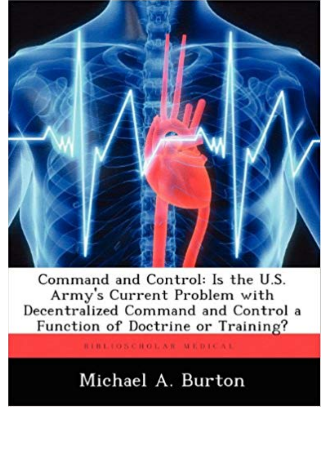

Command and Control: Is the U.S. Army's Current Problem with Decentralized Command and Control a Function of Doctrine or Training?

RIBLIOSCHOLAR MEDICAL

## Michael A. Burton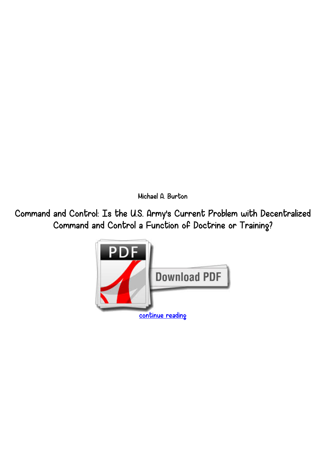*Michael A. Burton*

*Command and Control: Is the U.S. Army's Current Problem with Decentralized Command and Control a Function of Doctrine or Training?*

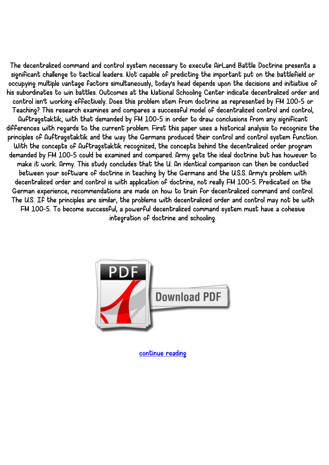*The decentralized command and control system necessary to execute AirLand Battle Doctrine presents a significant challenge to tactical leaders. Not capable of predicting the important put on the battlefield or occupying multiple vantage factors simultaneously, today's head depends upon the decisions and initiative of his subordinates to win battles. Outcomes at the National Schooling Center indicate decentralized order and control isn't working effectively. Does this problem stem from doctrine as represented by FM 100-5 or Teaching? This research examines and compares a successful model of decentralized control and control, Auftragstaktik, with that demanded by FM 100-5 in order to draw conclusions from any significant differences with regards to the current problem. First this paper uses a historical analysis to recognize the principles of Auftragstaktik and the way the Germans produced their control and control system function. With the concepts of Auftragstaktik recognized, the concepts behind the decentralized order program demanded by FM 100-5 could be examined and compared. Army gets the ideal doctrine but has however to make it work. Army. This study concludes that the U. An identical comparison can then be conducted between your software of doctrine in teaching by the Germans and the U.S.S. Army's problem with decentralized order and control is with application of doctrine, not really FM 100-5. Predicated on the German experience, recommendations are made on how to train for decentralized command and control. The U.S. If the principles are similar, the problems with decentralized order and control may not be with FM 100-5. To become successful, a powerful decentralized command system must have a cohesive integration of doctrine and schooling.*



*[continue reading](http://bit.ly/2Tge8Fv)*